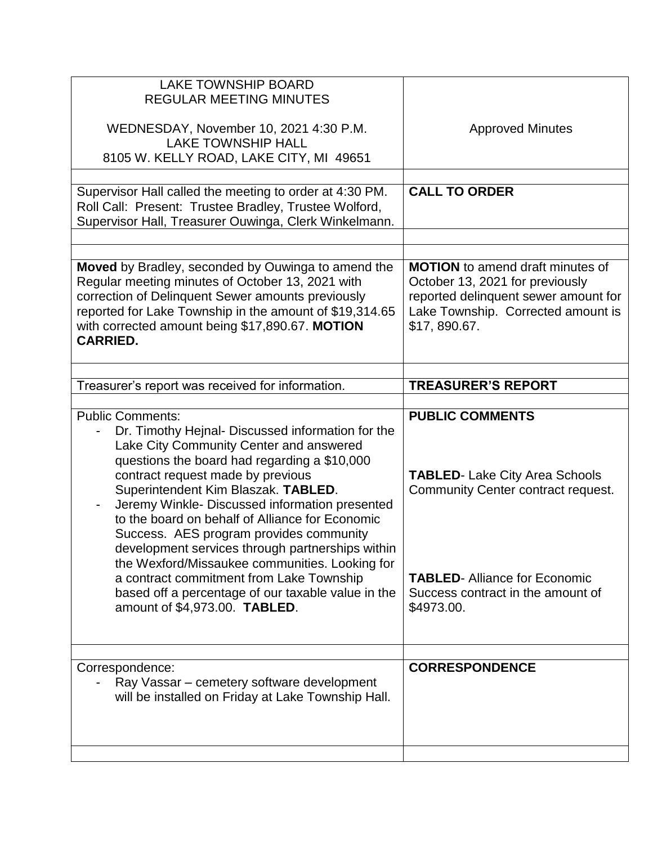| <b>LAKE TOWNSHIP BOARD</b><br><b>REGULAR MEETING MINUTES</b><br>WEDNESDAY, November 10, 2021 4:30 P.M.<br><b>LAKE TOWNSHIP HALL</b><br>8105 W. KELLY ROAD, LAKE CITY, MI 49651                                                                                                                                                                                                                                                                                                                                                                                                                                                               | <b>Approved Minutes</b>                                                                                                                                                                        |
|----------------------------------------------------------------------------------------------------------------------------------------------------------------------------------------------------------------------------------------------------------------------------------------------------------------------------------------------------------------------------------------------------------------------------------------------------------------------------------------------------------------------------------------------------------------------------------------------------------------------------------------------|------------------------------------------------------------------------------------------------------------------------------------------------------------------------------------------------|
| Supervisor Hall called the meeting to order at 4:30 PM.<br>Roll Call: Present: Trustee Bradley, Trustee Wolford,<br>Supervisor Hall, Treasurer Ouwinga, Clerk Winkelmann.                                                                                                                                                                                                                                                                                                                                                                                                                                                                    | <b>CALL TO ORDER</b>                                                                                                                                                                           |
| Moved by Bradley, seconded by Ouwinga to amend the<br>Regular meeting minutes of October 13, 2021 with<br>correction of Delinquent Sewer amounts previously<br>reported for Lake Township in the amount of \$19,314.65<br>with corrected amount being \$17,890.67. MOTION<br><b>CARRIED.</b>                                                                                                                                                                                                                                                                                                                                                 | <b>MOTION</b> to amend draft minutes of<br>October 13, 2021 for previously<br>reported delinquent sewer amount for<br>Lake Township. Corrected amount is<br>\$17,890.67.                       |
| Treasurer's report was received for information.                                                                                                                                                                                                                                                                                                                                                                                                                                                                                                                                                                                             | <b>TREASURER'S REPORT</b>                                                                                                                                                                      |
|                                                                                                                                                                                                                                                                                                                                                                                                                                                                                                                                                                                                                                              |                                                                                                                                                                                                |
| <b>Public Comments:</b><br>Dr. Timothy Hejnal- Discussed information for the<br>Lake City Community Center and answered<br>questions the board had regarding a \$10,000<br>contract request made by previous<br>Superintendent Kim Blaszak. TABLED.<br>Jeremy Winkle- Discussed information presented<br>to the board on behalf of Alliance for Economic<br>Success. AES program provides community<br>development services through partnerships within<br>the Wexford/Missaukee communities. Looking for<br>a contract commitment from Lake Township<br>based off a percentage of our taxable value in the<br>amount of \$4,973.00. TABLED. | <b>PUBLIC COMMENTS</b><br><b>TABLED-Lake City Area Schools</b><br>Community Center contract request.<br><b>TABLED-Alliance for Economic</b><br>Success contract in the amount of<br>\$4973.00. |
| Correspondence:                                                                                                                                                                                                                                                                                                                                                                                                                                                                                                                                                                                                                              |                                                                                                                                                                                                |
|                                                                                                                                                                                                                                                                                                                                                                                                                                                                                                                                                                                                                                              | <b>CORRESPONDENCE</b>                                                                                                                                                                          |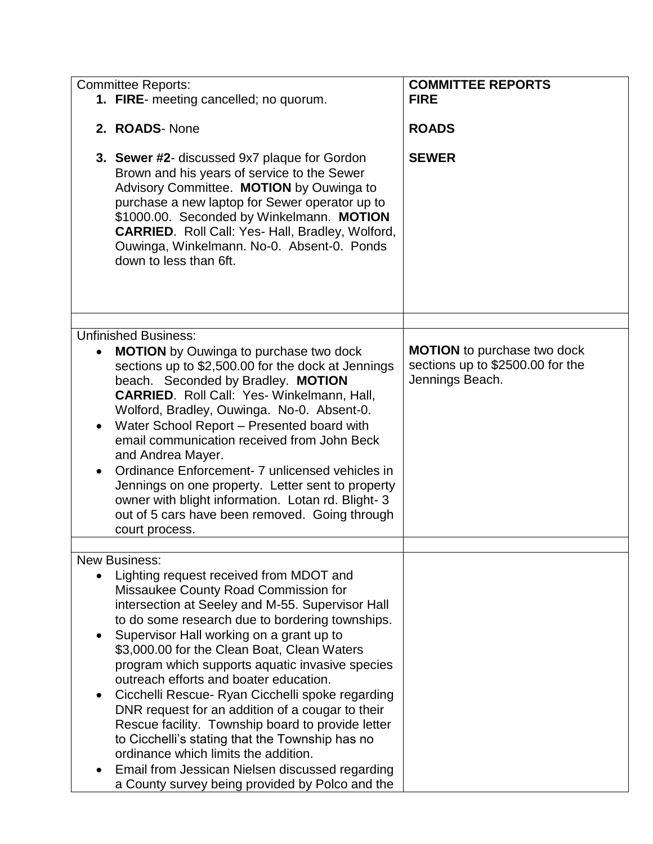| <b>Committee Reports:</b>                                                                                                                                                                                                                                                                                                                                                                                                                                                                                                                                                                                                                                                                                                                                 | <b>COMMITTEE REPORTS</b>                                                                  |
|-----------------------------------------------------------------------------------------------------------------------------------------------------------------------------------------------------------------------------------------------------------------------------------------------------------------------------------------------------------------------------------------------------------------------------------------------------------------------------------------------------------------------------------------------------------------------------------------------------------------------------------------------------------------------------------------------------------------------------------------------------------|-------------------------------------------------------------------------------------------|
| 1. FIRE- meeting cancelled; no quorum.                                                                                                                                                                                                                                                                                                                                                                                                                                                                                                                                                                                                                                                                                                                    | <b>FIRE</b>                                                                               |
| 2. ROADS-None                                                                                                                                                                                                                                                                                                                                                                                                                                                                                                                                                                                                                                                                                                                                             | <b>ROADS</b>                                                                              |
| <b>3. Sewer #2-</b> discussed 9x7 plaque for Gordon<br>Brown and his years of service to the Sewer<br>Advisory Committee. MOTION by Ouwinga to<br>purchase a new laptop for Sewer operator up to<br>\$1000.00. Seconded by Winkelmann. MOTION<br><b>CARRIED.</b> Roll Call: Yes- Hall, Bradley, Wolford,<br>Ouwinga, Winkelmann. No-0. Absent-0. Ponds<br>down to less than 6ft.                                                                                                                                                                                                                                                                                                                                                                          | <b>SEWER</b>                                                                              |
| <b>Unfinished Business:</b>                                                                                                                                                                                                                                                                                                                                                                                                                                                                                                                                                                                                                                                                                                                               |                                                                                           |
| <b>MOTION</b> by Ouwinga to purchase two dock<br>$\bullet$<br>sections up to \$2,500.00 for the dock at Jennings<br>beach. Seconded by Bradley. MOTION<br><b>CARRIED.</b> Roll Call: Yes- Winkelmann, Hall,<br>Wolford, Bradley, Ouwinga. No-0. Absent-0.<br>Water School Report - Presented board with<br>email communication received from John Beck<br>and Andrea Mayer.<br>Ordinance Enforcement- 7 unlicensed vehicles in<br>Jennings on one property. Letter sent to property<br>owner with blight information. Lotan rd. Blight-3<br>out of 5 cars have been removed. Going through<br>court process.                                                                                                                                              | <b>MOTION</b> to purchase two dock<br>sections up to \$2500.00 for the<br>Jennings Beach. |
| <b>New Business:</b>                                                                                                                                                                                                                                                                                                                                                                                                                                                                                                                                                                                                                                                                                                                                      |                                                                                           |
| Lighting request received from MDOT and<br>$\bullet$<br>Missaukee County Road Commission for<br>intersection at Seeley and M-55. Supervisor Hall<br>to do some research due to bordering townships.<br>Supervisor Hall working on a grant up to<br>\$3,000.00 for the Clean Boat, Clean Waters<br>program which supports aquatic invasive species<br>outreach efforts and boater education.<br>Cicchelli Rescue- Ryan Cicchelli spoke regarding<br>DNR request for an addition of a cougar to their<br>Rescue facility. Township board to provide letter<br>to Cicchelli's stating that the Township has no<br>ordinance which limits the addition.<br>Email from Jessican Nielsen discussed regarding<br>a County survey being provided by Polco and the |                                                                                           |